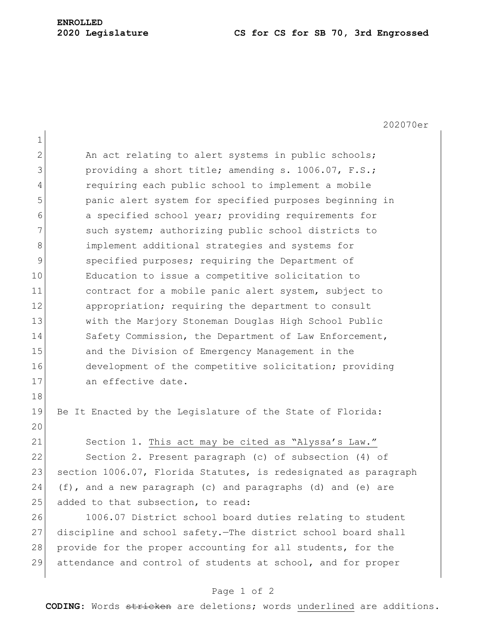## **ENROLLED**

## **2020 Legislature CS for CS for SB 70, 3rd Engrossed**

202070er 1 2 An act relating to alert systems in public schools; 3 **providing a short title; amending s. 1006.07, F.S.;** 4 requiring each public school to implement a mobile 5 panic alert system for specified purposes beginning in 6 6 6 a specified school year; providing requirements for 7 Such system; authorizing public school districts to 8 **implement additional strategies and systems for** 9 specified purposes; requiring the Department of 10 Education to issue a competitive solicitation to 11 contract for a mobile panic alert system, subject to 12 appropriation; requiring the department to consult 13 with the Marjory Stoneman Douglas High School Public 14 Safety Commission, the Department of Law Enforcement, 15 and the Division of Emergency Management in the 16 development of the competitive solicitation; providing 17 an effective date. 18 19 Be It Enacted by the Legislature of the State of Florida: 20 21 Section 1. This act may be cited as "Alyssa's Law." 22 Section 2. Present paragraph (c) of subsection (4) of 23 section 1006.07, Florida Statutes, is redesignated as paragraph 24 (f), and a new paragraph (c) and paragraphs (d) and (e) are  $25$  added to that subsection, to read: 26 1006.07 District school board duties relating to student 27 discipline and school safety.—The district school board shall 28 provide for the proper accounting for all students, for the 29 attendance and control of students at school, and for proper

## Page 1 of 2

**CODING**: Words stricken are deletions; words underlined are additions.